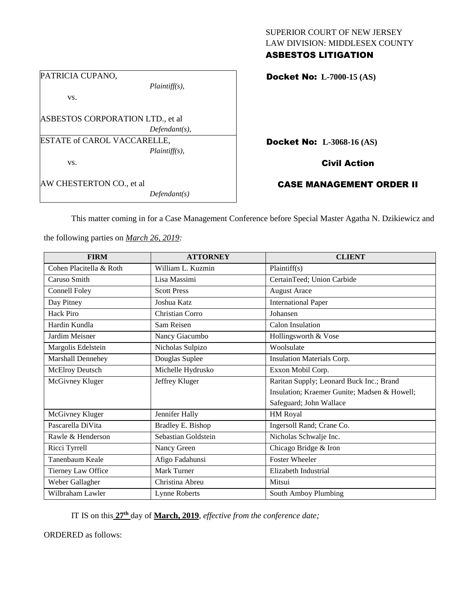| <b>ASBESTOS LITIGATION</b>     |  |
|--------------------------------|--|
| LAW DIVISION: MIDDLESEX COUNTY |  |
| SUPERIOR COURT OF NEW JERSEY   |  |

| PATRICIA CUPANO,                 |                  |  |
|----------------------------------|------------------|--|
|                                  | $Plaintiff(s)$ , |  |
| VS.                              |                  |  |
|                                  |                  |  |
| ASBESTOS CORPORATION LTD., et al |                  |  |
|                                  | $Defendant(s)$ , |  |
| ESTATE of CAROL VACCARELLE,      |                  |  |
|                                  | $Plaintiff(s)$ , |  |
| VS.                              |                  |  |
|                                  |                  |  |
| AW CHESTERTON CO., et al         |                  |  |
|                                  | Defendant(s)     |  |

Docket No: **L-7000-15 (AS)** 

Docket No: **L-3068-16 (AS)** 

Civil Action

CASE MANAGEMENT ORDER II

This matter coming in for a Case Management Conference before Special Master Agatha N. Dzikiewicz and

the following parties on *March 26, 2019:*

| <b>FIRM</b>             | <b>ATTORNEY</b>      | <b>CLIENT</b>                                |
|-------------------------|----------------------|----------------------------------------------|
| Cohen Placitella & Roth | William L. Kuzmin    | Plaintiff(s)                                 |
| Caruso Smith            | Lisa Massimi         | CertainTeed; Union Carbide                   |
| Connell Foley           | <b>Scott Press</b>   | <b>August Arace</b>                          |
| Day Pitney              | Joshua Katz          | <b>International Paper</b>                   |
| Hack Piro               | Christian Corro      | Johansen                                     |
| Hardin Kundla           | Sam Reisen           | Calon Insulation                             |
| Jardim Meisner          | Nancy Giacumbo       | Hollingsworth & Vose                         |
| Margolis Edelstein      | Nicholas Sulpizo     | Woolsulate                                   |
| Marshall Dennehey       | Douglas Suplee       | Insulation Materials Corp.                   |
| McElroy Deutsch         | Michelle Hydrusko    | Exxon Mobil Corp.                            |
| McGivney Kluger         | Jeffrey Kluger       | Raritan Supply; Leonard Buck Inc.; Brand     |
|                         |                      | Insulation; Kraemer Gunite; Madsen & Howell; |
|                         |                      | Safeguard; John Wallace                      |
| McGivney Kluger         | Jennifer Hally       | HM Royal                                     |
| Pascarella DiVita       | Bradley E. Bishop    | Ingersoll Rand; Crane Co.                    |
| Rawle & Henderson       | Sebastian Goldstein  | Nicholas Schwalje Inc.                       |
| Ricci Tyrrell           | Nancy Green          | Chicago Bridge & Iron                        |
| Tanenbaum Keale         | Afigo Fadahunsi      | <b>Foster Wheeler</b>                        |
| Tierney Law Office      | <b>Mark Turner</b>   | Elizabeth Industrial                         |
| Weber Gallagher         | Christina Abreu      | Mitsui                                       |
| Wilbraham Lawler        | <b>Lynne Roberts</b> | South Amboy Plumbing                         |

IT IS on this **27th** day of **March, 2019**, *effective from the conference date;*

ORDERED as follows: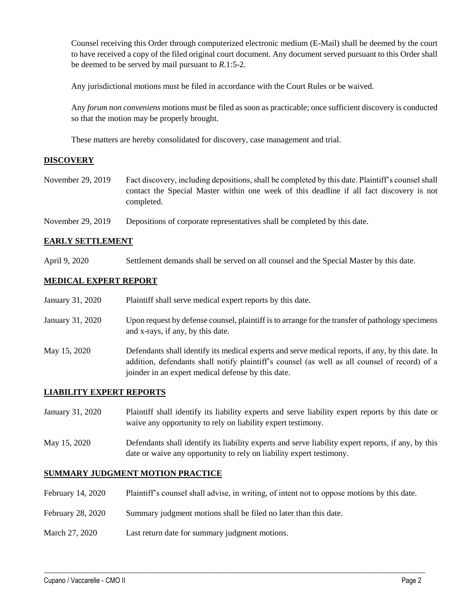Counsel receiving this Order through computerized electronic medium (E-Mail) shall be deemed by the court to have received a copy of the filed original court document. Any document served pursuant to this Order shall be deemed to be served by mail pursuant to *R*.1:5-2.

Any jurisdictional motions must be filed in accordance with the Court Rules or be waived.

Any *forum non conveniens* motions must be filed as soon as practicable; once sufficient discovery is conducted so that the motion may be properly brought.

These matters are hereby consolidated for discovery, case management and trial.

## **DISCOVERY**

- November 29, 2019 Fact discovery, including depositions, shall be completed by this date. Plaintiff's counsel shall contact the Special Master within one week of this deadline if all fact discovery is not completed.
- November 29, 2019 Depositions of corporate representatives shall be completed by this date.

# **EARLY SETTLEMENT**

April 9, 2020 Settlement demands shall be served on all counsel and the Special Master by this date.

## **MEDICAL EXPERT REPORT**

| January 31, 2020 | Plaintiff shall serve medical expert reports by this date.                                                                                                                                                                                               |
|------------------|----------------------------------------------------------------------------------------------------------------------------------------------------------------------------------------------------------------------------------------------------------|
| January 31, 2020 | Upon request by defense counsel, plaintiff is to arrange for the transfer of pathology specimens<br>and x-rays, if any, by this date.                                                                                                                    |
| May 15, 2020     | Defendants shall identify its medical experts and serve medical reports, if any, by this date. In<br>addition, defendants shall notify plaintiff's counsel (as well as all counsel of record) of a<br>joinder in an expert medical defense by this date. |

## **LIABILITY EXPERT REPORTS**

- January 31, 2020 Plaintiff shall identify its liability experts and serve liability expert reports by this date or waive any opportunity to rely on liability expert testimony.
- May 15, 2020 Defendants shall identify its liability experts and serve liability expert reports, if any, by this date or waive any opportunity to rely on liability expert testimony.

## **SUMMARY JUDGMENT MOTION PRACTICE**

February 14, 2020 Plaintiff's counsel shall advise, in writing, of intent not to oppose motions by this date.

 $\_$  ,  $\_$  ,  $\_$  ,  $\_$  ,  $\_$  ,  $\_$  ,  $\_$  ,  $\_$  ,  $\_$  ,  $\_$  ,  $\_$  ,  $\_$  ,  $\_$  ,  $\_$  ,  $\_$  ,  $\_$  ,  $\_$  ,  $\_$  ,  $\_$  ,  $\_$  ,  $\_$  ,  $\_$  ,  $\_$  ,  $\_$  ,  $\_$  ,  $\_$  ,  $\_$  ,  $\_$  ,  $\_$  ,  $\_$  ,  $\_$  ,  $\_$  ,  $\_$  ,  $\_$  ,  $\_$  ,  $\_$  ,  $\_$  ,

- February 28, 2020 Summary judgment motions shall be filed no later than this date.
- March 27, 2020 Last return date for summary judgment motions.